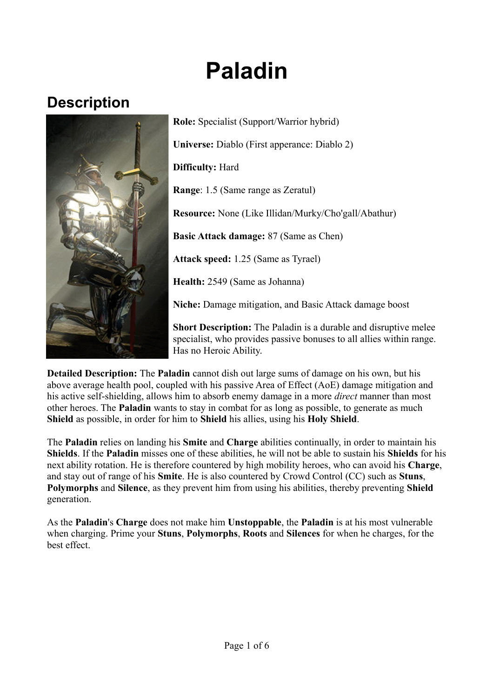# **Paladin**

# **Description**



**Role:** Specialist (Support/Warrior hybrid) **Universe:** Diablo (First apperance: Diablo 2) **Difficulty:** Hard **Range**: 1.5 (Same range as Zeratul) **Resource:** None (Like Illidan/Murky/Cho'gall/Abathur) **Basic Attack damage:** 87 (Same as Chen) **Attack speed:** 1.25 (Same as Tyrael) **Health:** 2549 (Same as Johanna) **Niche:** Damage mitigation, and Basic Attack damage boost

**Short Description:** The Paladin is a durable and disruptive melee specialist, who provides passive bonuses to all allies within range. Has no Heroic Ability.

**Detailed Description:** The **Paladin** cannot dish out large sums of damage on his own, but his above average health pool, coupled with his passive Area of Effect (AoE) damage mitigation and his active self-shielding, allows him to absorb enemy damage in a more *direct* manner than most other heroes. The **Paladin** wants to stay in combat for as long as possible, to generate as much **Shield** as possible, in order for him to **Shield** his allies, using his **Holy Shield**.

The **Paladin** relies on landing his **Smite** and **Charge** abilities continually, in order to maintain his **Shields**. If the **Paladin** misses one of these abilities, he will not be able to sustain his **Shields** for his next ability rotation. He is therefore countered by high mobility heroes, who can avoid his **Charge**, and stay out of range of his **Smite**. He is also countered by Crowd Control (CC) such as **Stuns**, **Polymorphs** and **Silence**, as they prevent him from using his abilities, thereby preventing **Shield** generation.

As the **Paladin**'s **Charge** does not make him **Unstoppable**, the **Paladin** is at his most vulnerable when charging. Prime your **Stuns**, **Polymorphs**, **Roots** and **Silences** for when he charges, for the best effect.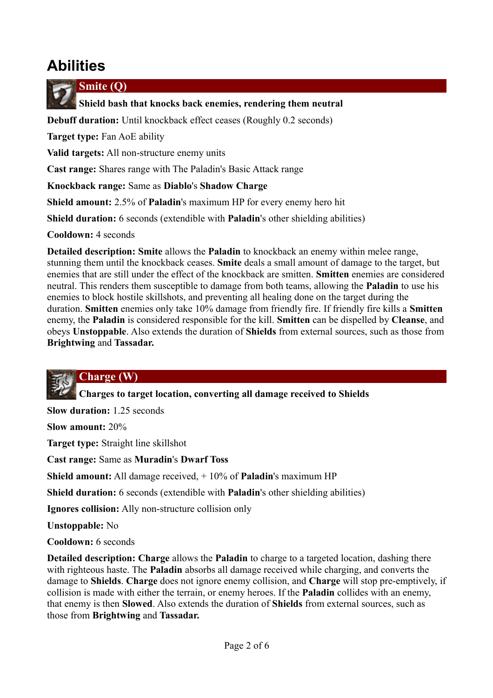# **Abilities**



**Smite (Q)**

 **Shield bash that knocks back enemies, rendering them neutral**

**Debuff duration:** Until knockback effect ceases (Roughly 0.2 seconds)

**Target type:** Fan AoE ability

**Valid targets:** All non-structure enemy units

**Cast range:** Shares range with The Paladin's Basic Attack range

**Knockback range:** Same as **Diablo**'s **Shadow Charge**

**Shield amount:** 2.5% of **Paladin**'s maximum HP for every enemy hero hit

**Shield duration:** 6 seconds (extendible with **Paladin**'s other shielding abilities)

**Cooldown:** 4 seconds

**Detailed description: Smite** allows the **Paladin** to knockback an enemy within melee range, stunning them until the knockback ceases. **Smite** deals a small amount of damage to the target, but enemies that are still under the effect of the knockback are smitten. **Smitten** enemies are considered neutral. This renders them susceptible to damage from both teams, allowing the **Paladin** to use his enemies to block hostile skillshots, and preventing all healing done on the target during the duration. **Smitten** enemies only take 10% damage from friendly fire. If friendly fire kills a **Smitten** enemy, the **Paladin** is considered responsible for the kill. **Smitten** can be dispelled by **Cleanse**, and obeys **Unstoppable**. Also extends the duration of **Shields** from external sources, such as those from **Brightwing** and **Tassadar.**

#### **Charge (W)**

 **Charges to target location, converting all damage received to Shields**

**Slow duration:** 1.25 seconds

**Slow amount:** 20%

**Target type:** Straight line skillshot

**Cast range:** Same as **Muradin**'s **Dwarf Toss**

**Shield amount:** All damage received, + 10% of **Paladin**'s maximum HP

**Shield duration:** 6 seconds (extendible with **Paladin**'s other shielding abilities)

**Ignores collision:** Ally non-structure collision only

**Unstoppable:** No

**Cooldown:** 6 seconds

**Detailed description: Charge** allows the **Paladin** to charge to a targeted location, dashing there with righteous haste. The **Paladin** absorbs all damage received while charging, and converts the damage to **Shields**. **Charge** does not ignore enemy collision, and **Charge** will stop pre-emptively, if collision is made with either the terrain, or enemy heroes. If the **Paladin** collides with an enemy, that enemy is then **Slowed**. Also extends the duration of **Shields** from external sources, such as those from **Brightwing** and **Tassadar.**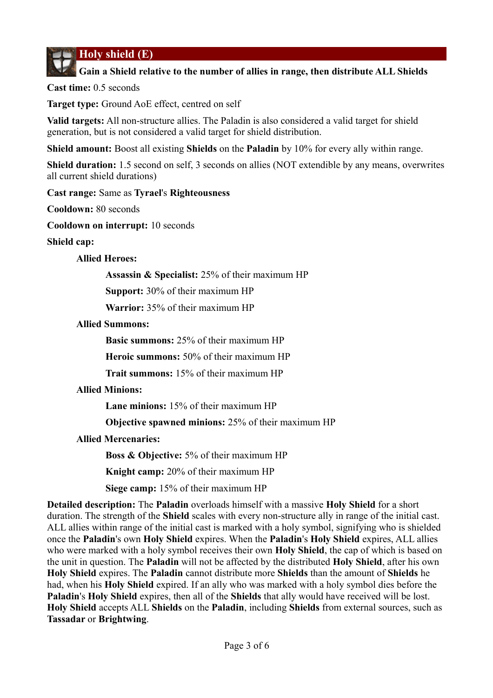**Holy shield (E)**

#### **Gain a Shield relative to the number of allies in range, then distribute ALL Shields**

**Cast time:** 0.5 seconds

**Target type:** Ground AoE effect, centred on self

**Valid targets:** All non-structure allies. The Paladin is also considered a valid target for shield generation, but is not considered a valid target for shield distribution.

**Shield amount:** Boost all existing **Shields** on the **Paladin** by 10% for every ally within range.

**Shield duration:** 1.5 second on self, 3 seconds on allies (NOT extendible by any means, overwrites all current shield durations)

**Cast range:** Same as **Tyrael**'s **Righteousness**

**Cooldown:** 80 seconds

**Cooldown on interrupt:** 10 seconds

**Shield cap:**

#### **Allied Heroes:**

**Assassin & Specialist:** 25% of their maximum HP

**Support:** 30% of their maximum HP

**Warrior:** 35% of their maximum HP

#### **Allied Summons:**

**Basic summons:** 25% of their maximum HP

**Heroic summons:** 50% of their maximum HP

**Trait summons:** 15% of their maximum HP

#### **Allied Minions:**

**Lane minions:** 15% of their maximum HP

**Objective spawned minions:** 25% of their maximum HP

#### **Allied Mercenaries:**

**Boss & Objective:** 5% of their maximum HP

**Knight camp:** 20% of their maximum HP

**Siege camp:** 15% of their maximum HP

**Detailed description:** The **Paladin** overloads himself with a massive **Holy Shield** for a short duration. The strength of the **Shield** scales with every non-structure ally in range of the initial cast. ALL allies within range of the initial cast is marked with a holy symbol, signifying who is shielded once the **Paladin**'s own **Holy Shield** expires. When the **Paladin**'s **Holy Shield** expires, ALL allies who were marked with a holy symbol receives their own **Holy Shield**, the cap of which is based on the unit in question. The **Paladin** will not be affected by the distributed **Holy Shield**, after his own **Holy Shield** expires. The **Paladin** cannot distribute more **Shields** than the amount of **Shields** he had, when his **Holy Shield** expired. If an ally who was marked with a holy symbol dies before the **Paladin**'s **Holy Shield** expires, then all of the **Shields** that ally would have received will be lost. **Holy Shield** accepts ALL **Shields** on the **Paladin**, including **Shields** from external sources, such as **Tassadar** or **Brightwing**.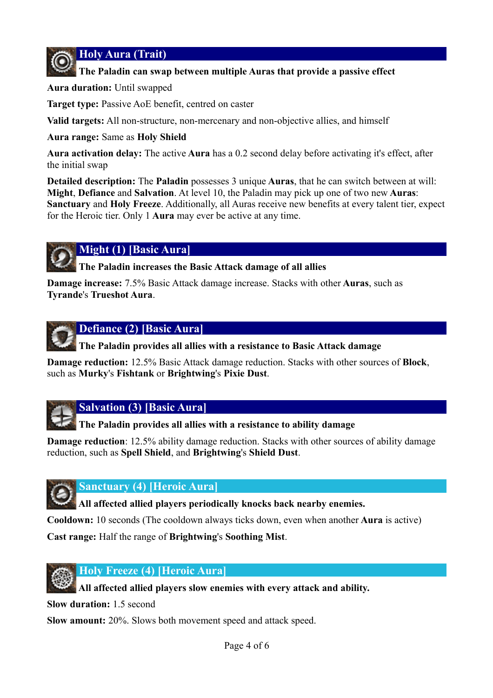**Holy Aura (Trait)**

#### **The Paladin can swap between multiple Auras that provide a passive effect**

**Aura duration:** Until swapped

**Target type:** Passive AoE benefit, centred on caster

**Valid targets:** All non-structure, non-mercenary and non-objective allies, and himself

**Aura range:** Same as **Holy Shield**

**Aura activation delay:** The active **Aura** has a 0.2 second delay before activating it's effect, after the initial swap

**Detailed description:** The **Paladin** possesses 3 unique **Auras**, that he can switch between at will: **Might**, **Defiance** and **Salvation**. At level 10, the Paladin may pick up one of two new **Auras**: **Sanctuary** and **Holy Freeze**. Additionally, all Auras receive new benefits at every talent tier, expect for the Heroic tier. Only 1 **Aura** may ever be active at any time.



#### **Might (1) [Basic Aura]**

 **The Paladin increases the Basic Attack damage of all allies**

**Damage increase:** 7.5% Basic Attack damage increase. Stacks with other **Auras**, such as **Tyrande**'s **Trueshot Aura**.



#### **Defiance (2) [Basic Aura]**

 **The Paladin provides all allies with a resistance to Basic Attack damage**

**Damage reduction:** 12.5% Basic Attack damage reduction. Stacks with other sources of **Block**, such as **Murky**'s **Fishtank** or **Brightwing**'s **Pixie Dust**.



**Salvation (3) [Basic Aura]**

 **The Paladin provides all allies with a resistance to ability damage**

**Damage reduction**: 12.5% ability damage reduction. Stacks with other sources of ability damage reduction, such as **Spell Shield**, and **Brightwing**'s **Shield Dust**.



#### **Sanctuary (4) [Heroic Aura]**

 **All affected allied players periodically knocks back nearby enemies.**

**Cooldown:** 10 seconds (The cooldown always ticks down, even when another **Aura** is active)

**Cast range:** Half the range of **Brightwing**'s **Soothing Mist**.



#### **Holy Freeze (4) [Heroic Aura]**

 **All affected allied players slow enemies with every attack and ability.**

**Slow duration:** 1.5 second

**Slow amount:** 20%. Slows both movement speed and attack speed.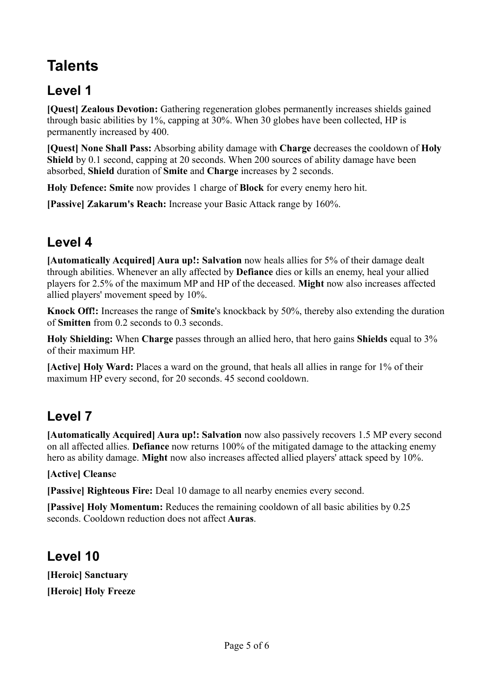# **Talents**

### **Level 1**

**[Quest] Zealous Devotion:** Gathering regeneration globes permanently increases shields gained through basic abilities by 1%, capping at 30%. When 30 globes have been collected, HP is permanently increased by 400.

**[Quest] None Shall Pass:** Absorbing ability damage with **Charge** decreases the cooldown of **Holy Shield** by 0.1 second, capping at 20 seconds. When 200 sources of ability damage have been absorbed, **Shield** duration of **Smite** and **Charge** increases by 2 seconds.

**Holy Defence: Smite** now provides 1 charge of **Block** for every enemy hero hit.

**[Passive] Zakarum's Reach:** Increase your Basic Attack range by 160%.

### **Level 4**

**[Automatically Acquired] Aura up!: Salvation** now heals allies for 5% of their damage dealt through abilities. Whenever an ally affected by **Defiance** dies or kills an enemy, heal your allied players for 2.5% of the maximum MP and HP of the deceased. **Might** now also increases affected allied players' movement speed by 10%.

**Knock Off!:** Increases the range of **Smite**'s knockback by 50%, thereby also extending the duration of **Smitten** from 0.2 seconds to 0.3 seconds.

**Holy Shielding:** When **Charge** passes through an allied hero, that hero gains **Shields** equal to 3% of their maximum HP.

**[Active] Holy Ward:** Places a ward on the ground, that heals all allies in range for 1% of their maximum HP every second, for 20 seconds. 45 second cooldown.

### **Level 7**

**[Automatically Acquired] Aura up!: Salvation** now also passively recovers 1.5 MP every second on all affected allies. **Defiance** now returns 100% of the mitigated damage to the attacking enemy hero as ability damage. **Might** now also increases affected allied players' attack speed by 10%.

#### **[Active] Cleans**e

**[Passive] Righteous Fire:** Deal 10 damage to all nearby enemies every second.

**[Passive] Holy Momentum:** Reduces the remaining cooldown of all basic abilities by 0.25 seconds. Cooldown reduction does not affect **Auras**.

# **Level 10**

**[Heroic] Sanctuary [Heroic] Holy Freeze**